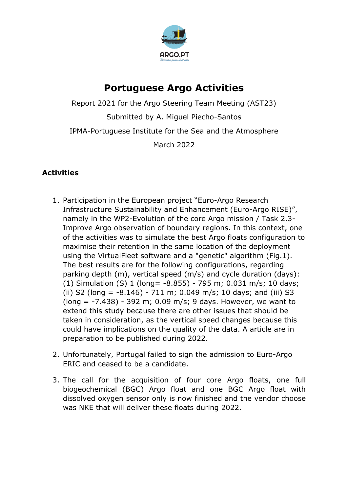

## **Portuguese Argo Activities**

Report 2021 for the Argo Steering Team Meeting (AST23) Submitted by A. Miguel Piecho-Santos IPMA-Portuguese Institute for the Sea and the Atmosphere March 2022

## **Activities**

- 1. Participation in the European project "Euro-Argo Research Infrastructure Sustainability and Enhancement (Euro-Argo RISE)", namely in the WP2-Evolution of the core Argo mission / Task 2.3- Improve Argo observation of boundary regions. In this context, one of the activities was to simulate the best Argo floats configuration to maximise their retention in the same location of the deployment using the VirtualFleet software and a "genetic" algorithm (Fig.1). The best results are for the following configurations, regarding parking depth (m), vertical speed (m/s) and cycle duration (days): (1) Simulation (S) 1 (long= -8.855) - 795 m; 0.031 m/s; 10 days; (ii) S2 (long =  $-8.146$ ) - 711 m; 0.049 m/s; 10 days; and (iii) S3 (long = -7.438) - 392 m; 0.09 m/s; 9 days. However, we want to extend this study because there are other issues that should be taken in consideration, as the vertical speed changes because this could have implications on the quality of the data. A article are in preparation to be published during 2022.
- 2. Unfortunately, Portugal failed to sign the admission to Euro-Argo ERIC and ceased to be a candidate.
- 3. The call for the acquisition of four core Argo floats, one full biogeochemical (BGC) Argo float and one BGC Argo float with dissolved oxygen sensor only is now finished and the vendor choose was NKE that will deliver these floats during 2022.